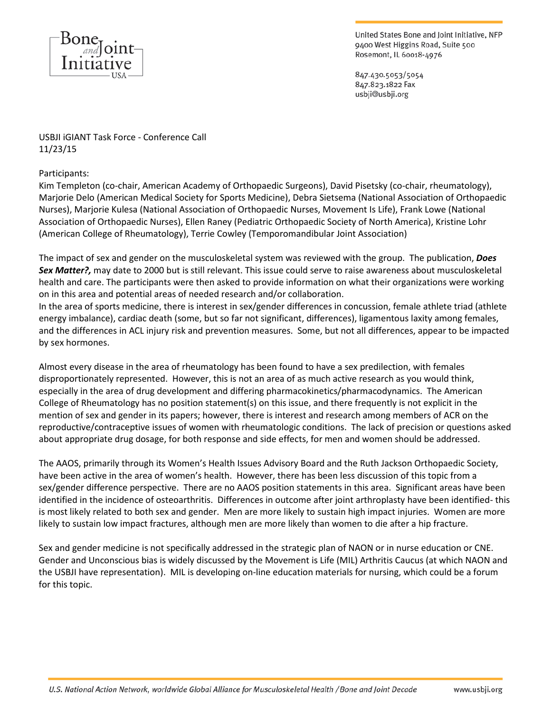

United States Bone and Joint Initiative, NFP 9400 West Higgins Road, Suite 500 Rosemont, IL 60018-4976

847.430.5053/5054 847.823.1822 Fax usbji@usbji.org

USBJI iGIANT Task Force - Conference Call 11/23/15

## Participants:

Kim Templeton (co-chair, American Academy of Orthopaedic Surgeons), David Pisetsky (co-chair, rheumatology), Marjorie Delo (American Medical Society for Sports Medicine), Debra Sietsema (National Association of Orthopaedic Nurses), Marjorie Kulesa (National Association of Orthopaedic Nurses, Movement Is Life), Frank Lowe (National Association of Orthopaedic Nurses), Ellen Raney (Pediatric Orthopaedic Society of North America), Kristine Lohr (American College of Rheumatology), Terrie Cowley (Temporomandibular Joint Association)

The impact of sex and gender on the musculoskeletal system was reviewed with the group. The publication, *Does Sex Matter?,* may date to 2000 but is still relevant. This issue could serve to raise awareness about musculoskeletal health and care. The participants were then asked to provide information on what their organizations were working on in this area and potential areas of needed research and/or collaboration.

In the area of sports medicine, there is interest in sex/gender differences in concussion, female athlete triad (athlete energy imbalance), cardiac death (some, but so far not significant, differences), ligamentous laxity among females, and the differences in ACL injury risk and prevention measures. Some, but not all differences, appear to be impacted by sex hormones.

Almost every disease in the area of rheumatology has been found to have a sex predilection, with females disproportionately represented. However, this is not an area of as much active research as you would think, especially in the area of drug development and differing pharmacokinetics/pharmacodynamics. The American College of Rheumatology has no position statement(s) on this issue, and there frequently is not explicit in the mention of sex and gender in its papers; however, there is interest and research among members of ACR on the reproductive/contraceptive issues of women with rheumatologic conditions. The lack of precision or questions asked about appropriate drug dosage, for both response and side effects, for men and women should be addressed.

The AAOS, primarily through its Women's Health Issues Advisory Board and the Ruth Jackson Orthopaedic Society, have been active in the area of women's health. However, there has been less discussion of this topic from a sex/gender difference perspective. There are no AAOS position statements in this area. Significant areas have been identified in the incidence of osteoarthritis. Differences in outcome after joint arthroplasty have been identified- this is most likely related to both sex and gender. Men are more likely to sustain high impact injuries. Women are more likely to sustain low impact fractures, although men are more likely than women to die after a hip fracture.

Sex and gender medicine is not specifically addressed in the strategic plan of NAON or in nurse education or CNE. Gender and Unconscious bias is widely discussed by the Movement is Life (MIL) Arthritis Caucus (at which NAON and the USBJI have representation). MIL is developing on-line education materials for nursing, which could be a forum for this topic.